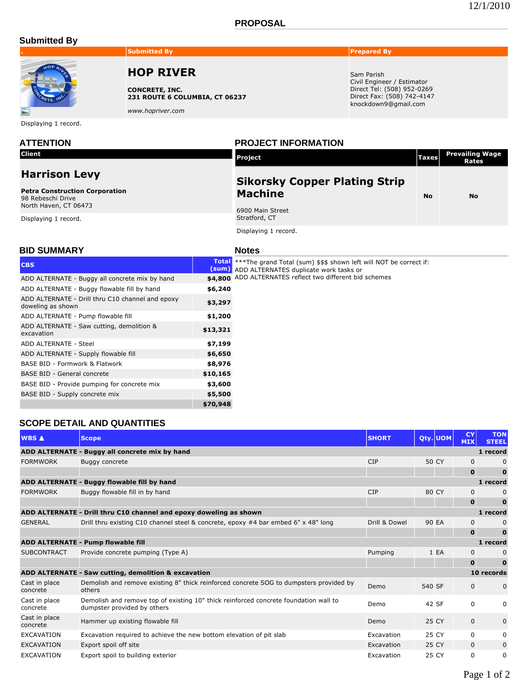### **PROPOSAL**

### **Submitted By**



### **. Submitted By Prepared By Prepared By**

# **HOP RIVER**

**CONCRETE, INC. 231 ROUTE 6 COLUMBIA, CT 06237**

*www.hopriver.com*

Displaying 1 record.

**Client**

## **Harrison Levy**

**Petra Construction Corporation** 98 Rebeschi Drive North Haven, CT 06473

Displaying 1 record.

**ATTENTION PROJECT INFORMATION**

| <b>Project</b>                                         | <b>Taxes</b> | <b>Prevailing Wage</b><br><b>Rates</b> |
|--------------------------------------------------------|--------------|----------------------------------------|
| <b>Sikorsky Copper Plating Strip</b><br><b>Machine</b> | No           | No                                     |
| 6900 Main Street<br>Stratford, CT                      |              |                                        |

Sam Parish

Civil Engineer / Estimator Direct Tel: (508) 952-0269 Direct Fax: (508) 742-4147 knockdown9@gmail.com

Displaying 1 record.

### **BID SUMMARY**

| ٠<br>M.<br>×<br>×<br>۰,<br>۰, |  |
|-------------------------------|--|
|                               |  |

| <b>CBS</b>                                                            | (sum)    | Total *** The grand Total (sum) \$\$\$ shown left will NOT be correct if:<br>ADD ALTERNATES duplicate work tasks or |
|-----------------------------------------------------------------------|----------|---------------------------------------------------------------------------------------------------------------------|
| ADD ALTERNATE - Buggy all concrete mix by hand                        | \$4,800  | ADD ALTERNATES reflect two different bid schemes                                                                    |
| ADD ALTERNATE - Buggy flowable fill by hand                           | \$6,240  |                                                                                                                     |
| ADD ALTERNATE - Drill thru C10 channel and epoxy<br>doweling as shown | \$3,297  |                                                                                                                     |
| ADD ALTERNATE - Pump flowable fill                                    | \$1,200  |                                                                                                                     |
| ADD ALTERNATE - Saw cutting, demolition &<br>excavation               | \$13,321 |                                                                                                                     |
| ADD ALTERNATE - Steel                                                 | \$7,199  |                                                                                                                     |
| ADD ALTERNATE - Supply flowable fill                                  | \$6,650  |                                                                                                                     |
| BASE BID - Formwork & Flatwork                                        | \$8,976  |                                                                                                                     |
| <b>BASE BID - General concrete</b>                                    | \$10,165 |                                                                                                                     |
| BASE BID - Provide pumping for concrete mix                           | \$3,600  |                                                                                                                     |
| BASE BID - Supply concrete mix                                        | \$5,500  |                                                                                                                     |
|                                                                       | \$70,948 |                                                                                                                     |

## **SCOPE DETAIL AND QUANTITIES**

| <b>WBS A</b>                       | <b>Scope</b>                                                                                                        | <b>SHORT</b>  |        | Qty. UOM | <b>CY</b><br><b>MIX</b> | <b>TON</b><br><b>STEEL</b> |
|------------------------------------|---------------------------------------------------------------------------------------------------------------------|---------------|--------|----------|-------------------------|----------------------------|
|                                    | ADD ALTERNATE - Buggy all concrete mix by hand                                                                      |               |        |          |                         | 1 record                   |
| <b>FORMWORK</b>                    | Buggy concrete                                                                                                      | <b>CIP</b>    | 50 CY  |          | $\mathbf{0}$            |                            |
|                                    |                                                                                                                     |               |        |          | $\mathbf{0}$            |                            |
|                                    | ADD ALTERNATE - Buggy flowable fill by hand                                                                         |               |        |          |                         | 1 record                   |
| <b>FORMWORK</b>                    | Buggy flowable fill in by hand                                                                                      | <b>CIP</b>    | 80 CY  |          | $\mathbf{0}$            |                            |
|                                    |                                                                                                                     |               |        |          | $\mathbf 0$             |                            |
|                                    | ADD ALTERNATE - Drill thru C10 channel and epoxy doweling as shown                                                  |               |        |          |                         | 1 record                   |
| <b>GENERAL</b>                     | Drill thru existing C10 channel steel & concrete, epoxy #4 bar embed 6" x 48" long                                  | Drill & Dowel | 90 EA  |          | 0                       |                            |
|                                    |                                                                                                                     |               |        |          | $\mathbf{o}$            |                            |
| ADD ALTERNATE - Pump flowable fill |                                                                                                                     |               |        |          | 1 record                |                            |
| <b>SUBCONTRACT</b>                 | Provide concrete pumping (Type A)                                                                                   | Pumping       |        | 1 EA     | 0                       |                            |
|                                    |                                                                                                                     |               |        |          | $\mathbf 0$             |                            |
|                                    | ADD ALTERNATE - Saw cutting, demolition & excavation                                                                |               |        |          |                         | 10 records                 |
| Cast in place<br>concrete          | Demolish and remove existing 8" thick reinforced concrete SOG to dumpsters provided by<br>others                    | Demo          | 540 SF |          | $\mathbf{0}$            |                            |
| Cast in place<br>concrete          | Demolish and remove top of existing 10" thick reinforced concrete foundation wall to<br>dumpster provided by others | Demo          | 42 SF  |          | $\Omega$                | 0                          |
| Cast in place<br>concrete          | Hammer up existing flowable fill                                                                                    | Demo          | 25 CY  |          | $\mathbf 0$             | 0                          |
| <b>EXCAVATION</b>                  | Excavation required to achieve the new bottom elevation of pit slab                                                 | Excavation    | 25 CY  |          | 0                       | 0                          |
| <b>EXCAVATION</b>                  | Export spoil off site                                                                                               | Excavation    | 25 CY  |          | $\mathbf{0}$            | $\mathbf{0}$               |
| <b>EXCAVATION</b>                  | Export spoil to building exterior                                                                                   | Excavation    | 25 CY  |          | 0                       | 0                          |